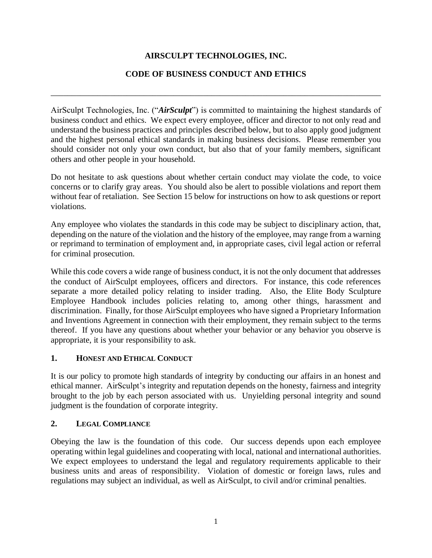# **AIRSCULPT TECHNOLOGIES, INC.**

### **CODE OF BUSINESS CONDUCT AND ETHICS**

\_\_\_\_\_\_\_\_\_\_\_\_\_\_\_\_\_\_\_\_\_\_\_\_\_\_\_\_\_\_\_\_\_\_\_\_\_\_\_\_\_\_\_\_\_\_\_\_\_\_\_\_\_\_\_\_\_\_\_\_\_\_\_\_\_\_\_\_\_\_\_\_\_\_\_\_\_\_

AirSculpt Technologies, Inc. ("*AirSculpt*") is committed to maintaining the highest standards of business conduct and ethics. We expect every employee, officer and director to not only read and understand the business practices and principles described below, but to also apply good judgment and the highest personal ethical standards in making business decisions. Please remember you should consider not only your own conduct, but also that of your family members, significant others and other people in your household.

Do not hesitate to ask questions about whether certain conduct may violate the code, to voice concerns or to clarify gray areas. You should also be alert to possible violations and report them without fear of retaliation. See Section 15 below for instructions on how to ask questions or report violations.

Any employee who violates the standards in this code may be subject to disciplinary action, that, depending on the nature of the violation and the history of the employee, may range from a warning or reprimand to termination of employment and, in appropriate cases, civil legal action or referral for criminal prosecution.

While this code covers a wide range of business conduct, it is not the only document that addresses the conduct of AirSculpt employees, officers and directors. For instance, this code references separate a more detailed policy relating to insider trading. Also, the Elite Body Sculpture Employee Handbook includes policies relating to, among other things, harassment and discrimination. Finally, for those AirSculpt employees who have signed a Proprietary Information and Inventions Agreement in connection with their employment, they remain subject to the terms thereof. If you have any questions about whether your behavior or any behavior you observe is appropriate, it is your responsibility to ask.

### **1. HONEST AND ETHICAL CONDUCT**

It is our policy to promote high standards of integrity by conducting our affairs in an honest and ethical manner. AirSculpt's integrity and reputation depends on the honesty, fairness and integrity brought to the job by each person associated with us. Unyielding personal integrity and sound judgment is the foundation of corporate integrity.

### **2. LEGAL COMPLIANCE**

Obeying the law is the foundation of this code. Our success depends upon each employee operating within legal guidelines and cooperating with local, national and international authorities. We expect employees to understand the legal and regulatory requirements applicable to their business units and areas of responsibility. Violation of domestic or foreign laws, rules and regulations may subject an individual, as well as AirSculpt, to civil and/or criminal penalties.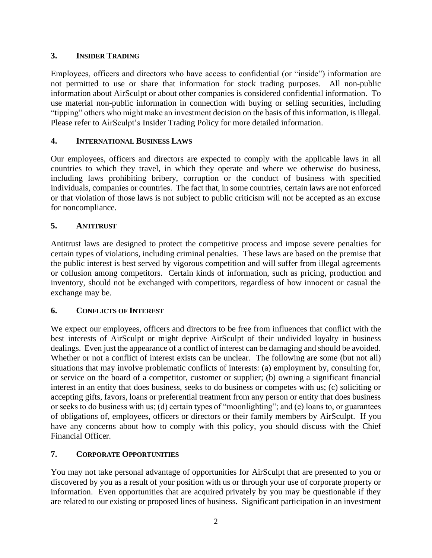### **3. INSIDER TRADING**

Employees, officers and directors who have access to confidential (or "inside") information are not permitted to use or share that information for stock trading purposes. All non-public information about AirSculpt or about other companies is considered confidential information. To use material non-public information in connection with buying or selling securities, including "tipping" others who might make an investment decision on the basis of this information, is illegal. Please refer to AirSculpt's Insider Trading Policy for more detailed information.

## **4. INTERNATIONAL BUSINESS LAWS**

Our employees, officers and directors are expected to comply with the applicable laws in all countries to which they travel, in which they operate and where we otherwise do business, including laws prohibiting bribery, corruption or the conduct of business with specified individuals, companies or countries. The fact that, in some countries, certain laws are not enforced or that violation of those laws is not subject to public criticism will not be accepted as an excuse for noncompliance.

## **5. ANTITRUST**

Antitrust laws are designed to protect the competitive process and impose severe penalties for certain types of violations, including criminal penalties. These laws are based on the premise that the public interest is best served by vigorous competition and will suffer from illegal agreements or collusion among competitors. Certain kinds of information, such as pricing, production and inventory, should not be exchanged with competitors, regardless of how innocent or casual the exchange may be.

# **6. CONFLICTS OF INTEREST**

We expect our employees, officers and directors to be free from influences that conflict with the best interests of AirSculpt or might deprive AirSculpt of their undivided loyalty in business dealings. Even just the appearance of a conflict of interest can be damaging and should be avoided. Whether or not a conflict of interest exists can be unclear. The following are some (but not all) situations that may involve problematic conflicts of interests: (a) employment by, consulting for, or service on the board of a competitor, customer or supplier; (b) owning a significant financial interest in an entity that does business, seeks to do business or competes with us; (c) soliciting or accepting gifts, favors, loans or preferential treatment from any person or entity that does business or seeks to do business with us; (d) certain types of "moonlighting"; and (e) loans to, or guarantees of obligations of, employees, officers or directors or their family members by AirSculpt. If you have any concerns about how to comply with this policy, you should discuss with the Chief Financial Officer.

# **7. CORPORATE OPPORTUNITIES**

You may not take personal advantage of opportunities for AirSculpt that are presented to you or discovered by you as a result of your position with us or through your use of corporate property or information. Even opportunities that are acquired privately by you may be questionable if they are related to our existing or proposed lines of business. Significant participation in an investment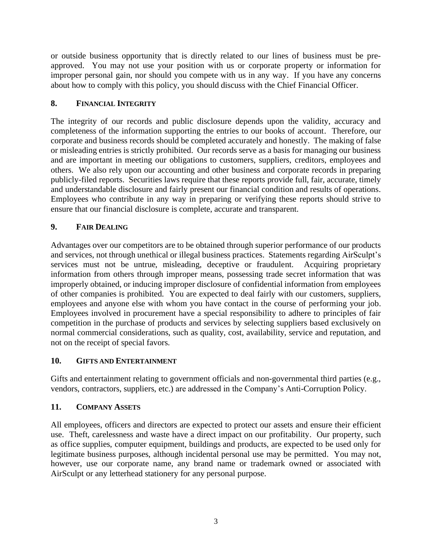or outside business opportunity that is directly related to our lines of business must be preapproved. You may not use your position with us or corporate property or information for improper personal gain, nor should you compete with us in any way. If you have any concerns about how to comply with this policy, you should discuss with the Chief Financial Officer.

## **8. FINANCIAL INTEGRITY**

The integrity of our records and public disclosure depends upon the validity, accuracy and completeness of the information supporting the entries to our books of account. Therefore, our corporate and business records should be completed accurately and honestly. The making of false or misleading entries is strictly prohibited. Our records serve as a basis for managing our business and are important in meeting our obligations to customers, suppliers, creditors, employees and others. We also rely upon our accounting and other business and corporate records in preparing publicly-filed reports. Securities laws require that these reports provide full, fair, accurate, timely and understandable disclosure and fairly present our financial condition and results of operations. Employees who contribute in any way in preparing or verifying these reports should strive to ensure that our financial disclosure is complete, accurate and transparent.

### **9. FAIR DEALING**

Advantages over our competitors are to be obtained through superior performance of our products and services, not through unethical or illegal business practices. Statements regarding AirSculpt's services must not be untrue, misleading, deceptive or fraudulent. Acquiring proprietary information from others through improper means, possessing trade secret information that was improperly obtained, or inducing improper disclosure of confidential information from employees of other companies is prohibited. You are expected to deal fairly with our customers, suppliers, employees and anyone else with whom you have contact in the course of performing your job. Employees involved in procurement have a special responsibility to adhere to principles of fair competition in the purchase of products and services by selecting suppliers based exclusively on normal commercial considerations, such as quality, cost, availability, service and reputation, and not on the receipt of special favors.

### **10. GIFTS AND ENTERTAINMENT**

Gifts and entertainment relating to government officials and non-governmental third parties (e.g., vendors, contractors, suppliers, etc.) are addressed in the Company's Anti-Corruption Policy.

### **11. COMPANY ASSETS**

All employees, officers and directors are expected to protect our assets and ensure their efficient use. Theft, carelessness and waste have a direct impact on our profitability. Our property, such as office supplies, computer equipment, buildings and products, are expected to be used only for legitimate business purposes, although incidental personal use may be permitted. You may not, however, use our corporate name, any brand name or trademark owned or associated with AirSculpt or any letterhead stationery for any personal purpose.